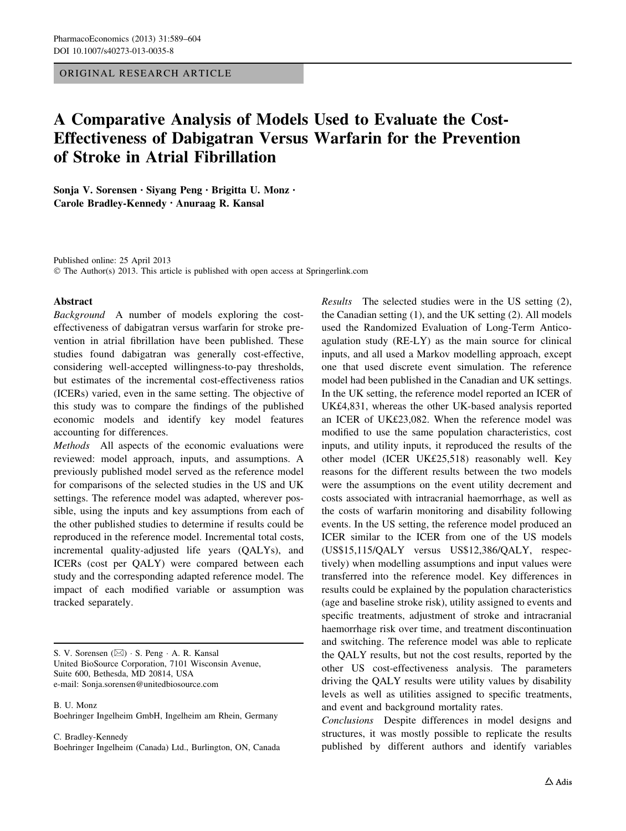ORIGINAL RESEARCH ARTICLE

# A Comparative Analysis of Models Used to Evaluate the Cost-Effectiveness of Dabigatran Versus Warfarin for the Prevention of Stroke in Atrial Fibrillation

Sonja V. Sorensen • Siyang Peng • Brigitta U. Monz • Carole Bradley-Kennedy • Anuraag R. Kansal

Published online: 25 April 2013 © The Author(s) 2013. This article is published with open access at Springerlink.com

## Abstract

Background A number of models exploring the costeffectiveness of dabigatran versus warfarin for stroke prevention in atrial fibrillation have been published. These studies found dabigatran was generally cost-effective, considering well-accepted willingness-to-pay thresholds, but estimates of the incremental cost-effectiveness ratios (ICERs) varied, even in the same setting. The objective of this study was to compare the findings of the published economic models and identify key model features accounting for differences.

Methods All aspects of the economic evaluations were reviewed: model approach, inputs, and assumptions. A previously published model served as the reference model for comparisons of the selected studies in the US and UK settings. The reference model was adapted, wherever possible, using the inputs and key assumptions from each of the other published studies to determine if results could be reproduced in the reference model. Incremental total costs, incremental quality-adjusted life years (QALYs), and ICERs (cost per QALY) were compared between each study and the corresponding adapted reference model. The impact of each modified variable or assumption was tracked separately.

S. V. Sorensen (⊠) · S. Peng · A. R. Kansal United BioSource Corporation, 7101 Wisconsin Avenue, Suite 600, Bethesda, MD 20814, USA e-mail: Sonja.sorensen@unitedbiosource.com

B. U. Monz Boehringer Ingelheim GmbH, Ingelheim am Rhein, Germany

C. Bradley-Kennedy Boehringer Ingelheim (Canada) Ltd., Burlington, ON, Canada Results The selected studies were in the US setting (2), the Canadian setting (1), and the UK setting (2). All models used the Randomized Evaluation of Long-Term Anticoagulation study (RE-LY) as the main source for clinical inputs, and all used a Markov modelling approach, except one that used discrete event simulation. The reference model had been published in the Canadian and UK settings. In the UK setting, the reference model reported an ICER of UK£4,831, whereas the other UK-based analysis reported an ICER of UK£23,082. When the reference model was modified to use the same population characteristics, cost inputs, and utility inputs, it reproduced the results of the other model (ICER UK£25,518) reasonably well. Key reasons for the different results between the two models were the assumptions on the event utility decrement and costs associated with intracranial haemorrhage, as well as the costs of warfarin monitoring and disability following events. In the US setting, the reference model produced an ICER similar to the ICER from one of the US models (US\$15,115/QALY versus US\$12,386/QALY, respectively) when modelling assumptions and input values were transferred into the reference model. Key differences in results could be explained by the population characteristics (age and baseline stroke risk), utility assigned to events and specific treatments, adjustment of stroke and intracranial haemorrhage risk over time, and treatment discontinuation and switching. The reference model was able to replicate the QALY results, but not the cost results, reported by the other US cost-effectiveness analysis. The parameters driving the QALY results were utility values by disability levels as well as utilities assigned to specific treatments, and event and background mortality rates.

Conclusions Despite differences in model designs and structures, it was mostly possible to replicate the results published by different authors and identify variables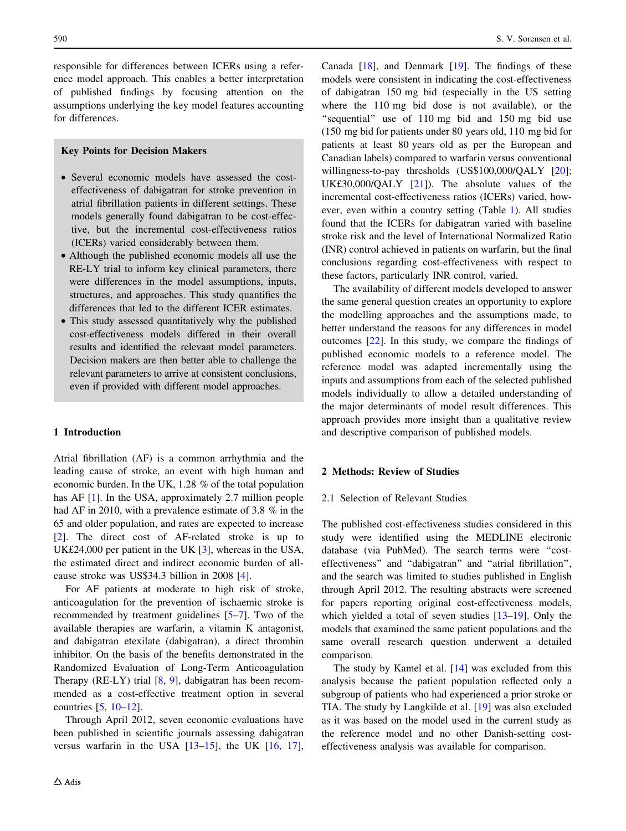responsible for differences between ICERs using a reference model approach. This enables a better interpretation of published findings by focusing attention on the assumptions underlying the key model features accounting for differences.

# Key Points for Decision Makers

- Several economic models have assessed the costeffectiveness of dabigatran for stroke prevention in atrial fibrillation patients in different settings. These models generally found dabigatran to be cost-effective, but the incremental cost-effectiveness ratios (ICERs) varied considerably between them.
- Although the published economic models all use the RE-LY trial to inform key clinical parameters, there were differences in the model assumptions, inputs, structures, and approaches. This study quantifies the differences that led to the different ICER estimates.
- This study assessed quantitatively why the published cost-effectiveness models differed in their overall results and identified the relevant model parameters. Decision makers are then better able to challenge the relevant parameters to arrive at consistent conclusions, even if provided with different model approaches.

## 1 Introduction

Atrial fibrillation (AF) is a common arrhythmia and the leading cause of stroke, an event with high human and economic burden. In the UK, 1.28 % of the total population has AF [[1\]](#page-15-0). In the USA, approximately 2.7 million people had AF in 2010, with a prevalence estimate of 3.8 % in the 65 and older population, and rates are expected to increase [\[2](#page-15-0)]. The direct cost of AF-related stroke is up to UK£24,000 per patient in the UK [\[3](#page-15-0)], whereas in the USA, the estimated direct and indirect economic burden of allcause stroke was US\$34.3 billion in 2008 [[4\]](#page-15-0).

For AF patients at moderate to high risk of stroke, anticoagulation for the prevention of ischaemic stroke is recommended by treatment guidelines [[5–7\]](#page-15-0). Two of the available therapies are warfarin, a vitamin K antagonist, and dabigatran etexilate (dabigatran), a direct thrombin inhibitor. On the basis of the benefits demonstrated in the Randomized Evaluation of Long-Term Anticoagulation Therapy (RE-LY) trial [\[8](#page-15-0), [9](#page-15-0)], dabigatran has been recommended as a cost-effective treatment option in several countries [\[5](#page-15-0), [10–12](#page-15-0)].

Through April 2012, seven economic evaluations have been published in scientific journals assessing dabigatran versus warfarin in the USA  $[13-15]$ , the UK  $[16, 17]$  $[16, 17]$  $[16, 17]$  $[16, 17]$  $[16, 17]$ ,

Canada [[18\]](#page-15-0), and Denmark [\[19](#page-15-0)]. The findings of these models were consistent in indicating the cost-effectiveness of dabigatran 150 mg bid (especially in the US setting where the 110 mg bid dose is not available), or the "sequential" use of 110 mg bid and 150 mg bid use (150 mg bid for patients under 80 years old, 110 mg bid for patients at least 80 years old as per the European and Canadian labels) compared to warfarin versus conventional willingness-to-pay thresholds (US\$100,000/QALY [\[20](#page-15-0)]; UK£30,000/QALY [[21\]](#page-15-0)). The absolute values of the incremental cost-effectiveness ratios (ICERs) varied, however, even within a country setting (Table [1](#page-2-0)). All studies found that the ICERs for dabigatran varied with baseline stroke risk and the level of International Normalized Ratio (INR) control achieved in patients on warfarin, but the final conclusions regarding cost-effectiveness with respect to these factors, particularly INR control, varied.

The availability of different models developed to answer the same general question creates an opportunity to explore the modelling approaches and the assumptions made, to better understand the reasons for any differences in model outcomes [[22\]](#page-15-0). In this study, we compare the findings of published economic models to a reference model. The reference model was adapted incrementally using the inputs and assumptions from each of the selected published models individually to allow a detailed understanding of the major determinants of model result differences. This approach provides more insight than a qualitative review and descriptive comparison of published models.

#### 2 Methods: Review of Studies

#### 2.1 Selection of Relevant Studies

The published cost-effectiveness studies considered in this study were identified using the MEDLINE electronic database (via PubMed). The search terms were ''costeffectiveness'' and ''dabigatran'' and ''atrial fibrillation'', and the search was limited to studies published in English through April 2012. The resulting abstracts were screened for papers reporting original cost-effectiveness models, which yielded a total of seven studies [\[13–19](#page-15-0)]. Only the models that examined the same patient populations and the same overall research question underwent a detailed comparison.

The study by Kamel et al. [[14\]](#page-15-0) was excluded from this analysis because the patient population reflected only a subgroup of patients who had experienced a prior stroke or TIA. The study by Langkilde et al. [\[19](#page-15-0)] was also excluded as it was based on the model used in the current study as the reference model and no other Danish-setting costeffectiveness analysis was available for comparison.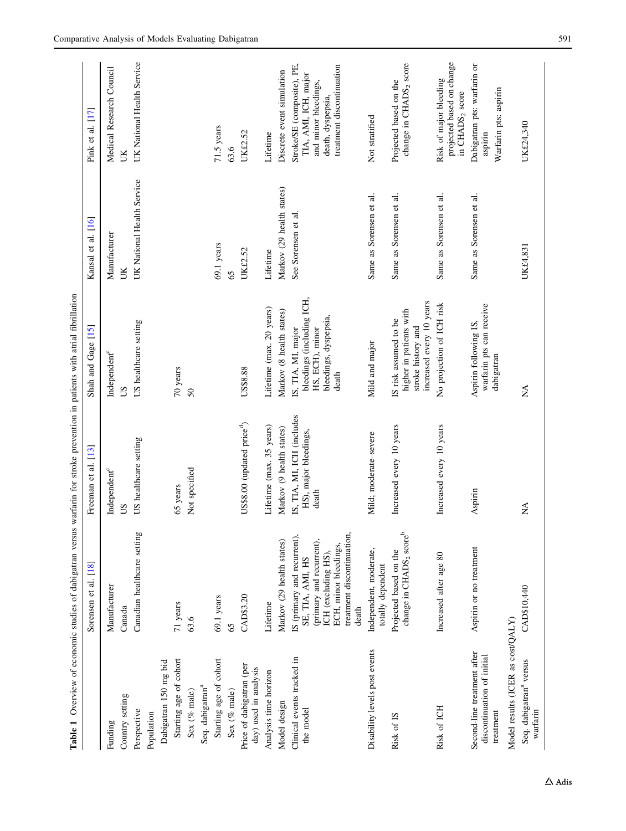<span id="page-2-0"></span>

|                                                                        |                                                                                                                                                                    | Table 1 Overview of economic studies of dabigatran versus warfarin for stroke prevention in patients with atrial fibrillation |                                                                                                      |                            |                                                                                                                              |
|------------------------------------------------------------------------|--------------------------------------------------------------------------------------------------------------------------------------------------------------------|-------------------------------------------------------------------------------------------------------------------------------|------------------------------------------------------------------------------------------------------|----------------------------|------------------------------------------------------------------------------------------------------------------------------|
|                                                                        | Sorensen et al. [18]                                                                                                                                               | Freeman et al. [13]                                                                                                           | Shah and Gage [15]                                                                                   | Kansal et al. [16]         | Pink et al. [17]                                                                                                             |
| Funding                                                                | Manufacturer                                                                                                                                                       | Independent <sup>c</sup>                                                                                                      | Independent <sup>c</sup>                                                                             | Manufacturer               | Medical Research Council                                                                                                     |
| Country setting                                                        | Canada                                                                                                                                                             | SU                                                                                                                            | <b>SU</b>                                                                                            | UK                         | UK                                                                                                                           |
| Perspective                                                            | Canadian healthcare setting                                                                                                                                        | US healthcare setting                                                                                                         | US healthcare setting                                                                                | UK National Health Service | UK National Health Service                                                                                                   |
| Population                                                             |                                                                                                                                                                    |                                                                                                                               |                                                                                                      |                            |                                                                                                                              |
| Dabigatran 150 mg bid                                                  |                                                                                                                                                                    |                                                                                                                               |                                                                                                      |                            |                                                                                                                              |
| Starting age of cohort                                                 | 71 years                                                                                                                                                           | 65 years                                                                                                                      | 70 years                                                                                             |                            |                                                                                                                              |
| Sex (% male)                                                           | 63.6                                                                                                                                                               | Not specified                                                                                                                 | $50\,$                                                                                               |                            |                                                                                                                              |
| Seq. dabigatran <sup>a</sup>                                           |                                                                                                                                                                    |                                                                                                                               |                                                                                                      |                            |                                                                                                                              |
| Starting age of cohort                                                 | 69.1 years                                                                                                                                                         |                                                                                                                               |                                                                                                      | 69.1 years                 | 71.5 years                                                                                                                   |
| Sex (% male)                                                           | 65                                                                                                                                                                 |                                                                                                                               |                                                                                                      | 65                         | 63.6                                                                                                                         |
| Price of dabigatran (per<br>day) used in analysis                      | CAD\$3.20                                                                                                                                                          | $USS8.00$ (updated price <sup>4</sup> )                                                                                       | US\$8.88                                                                                             | <b>UK£2.52</b>             | <b>UK£2.52</b>                                                                                                               |
| Analysis time horizon                                                  | Lifetime                                                                                                                                                           | Lifetime (max. 35 years)                                                                                                      | Lifetime (max. 20 years)                                                                             | Lifetime                   | Lifetime                                                                                                                     |
| Model design                                                           | Markov (29 health states)                                                                                                                                          | Markov (9 health states)                                                                                                      | Markov (8 health states)                                                                             | Markov (29 health states)  | Discrete event simulation                                                                                                    |
| Clinical events tracked in<br>the model                                | treatment discontinuation,<br>IS (primary and recurrent),<br>(primary and recurrent),<br>ECH, minor bleedings,<br>ICH (excluding HS).<br>SE, TIA, AMI, HS<br>death | IS, TIA, MI, ICH (includes<br>HS), major bleedings,<br>death                                                                  | bleedings (including ICH,<br>bleedings, dyspepsia,<br>HS, ECH), minor<br>IS, TIA, MI, major<br>death | See Sorensen et al.        | Stroke/SE (composite), PE,<br>treatment discontinuation<br>TIA, AMI, ICH, major<br>and minor bleedings,<br>death, dyspepsia, |
| Disability levels post events                                          | Independent, moderate,<br>totally dependent                                                                                                                        | Mild; moderate-severe                                                                                                         | Mild and major                                                                                       | Same as Sorensen et al.    | Not stratified                                                                                                               |
| Risk of IS                                                             | change in CHADS <sub>2</sub> score <sup>b</sup><br>Projected based on the                                                                                          | Increased every 10 years                                                                                                      | increased every 10 years<br>higher in patients with<br>IS risk assumed to be<br>stroke history and   | Same as Sorensen et al.    | change in CHADS <sub>2</sub> score<br>Projected based on the                                                                 |
| Risk of ICH                                                            | Increased after age 80                                                                                                                                             | Increased every 10 years                                                                                                      | No projection of ICH risk                                                                            | Same as Sorensen et al.    | projected based on change<br>Risk of major bleeding<br>in CHADS <sub>2</sub> score                                           |
| Second-line treatment after<br>discontinuation of initial<br>treatment | Aspirin or no treatment                                                                                                                                            | Aspirin                                                                                                                       | warfarin pts can receive<br>Aspirin following IS,<br>dabigatran                                      | Same as Sorensen et al.    | Dabigatran pts: warfarin or<br>Warfarin pts: aspirin<br>aspirin                                                              |
| Model results (ICER as cost/QALY)                                      |                                                                                                                                                                    |                                                                                                                               |                                                                                                      |                            |                                                                                                                              |
| Seq. dabigatran <sup>a</sup> versus<br>warfarin                        | CAD\$10,440                                                                                                                                                        | Ź                                                                                                                             | Ź                                                                                                    | UK£4,831                   | UK£24,340                                                                                                                    |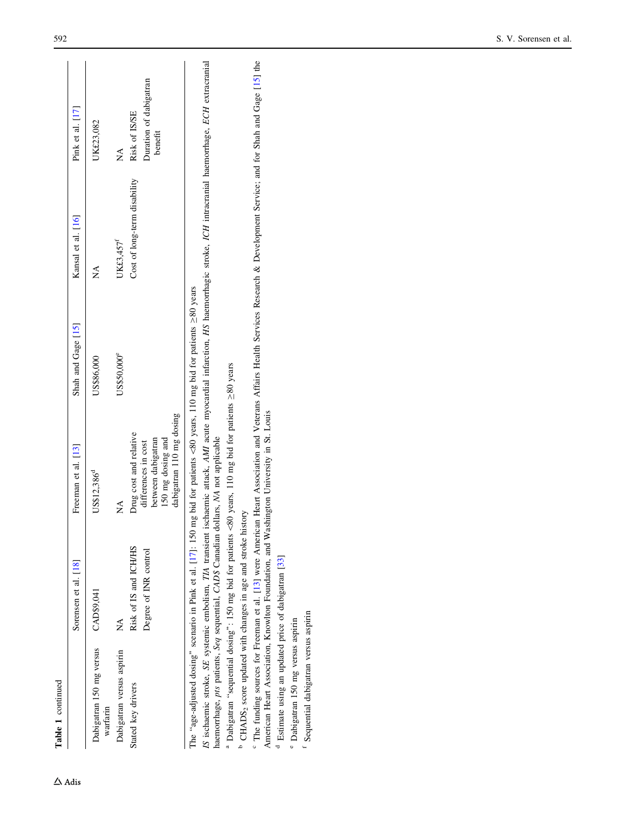| Table 1 continued                                        |                                                                                                                                                                              |                                                                                                                                                                                                                                                         |                    |                                                                                                                           |                                                    |
|----------------------------------------------------------|------------------------------------------------------------------------------------------------------------------------------------------------------------------------------|---------------------------------------------------------------------------------------------------------------------------------------------------------------------------------------------------------------------------------------------------------|--------------------|---------------------------------------------------------------------------------------------------------------------------|----------------------------------------------------|
|                                                          | Sorensen et al. [18]                                                                                                                                                         | Freeman et al. [13]                                                                                                                                                                                                                                     | Shah and Gage [15] | Kansal et al. [16]                                                                                                        | Pink et al. [17]                                   |
| Dabigatran 150 mg versus<br>warfarin                     | CAD\$9.041                                                                                                                                                                   | US\$12,386 <sup>d</sup>                                                                                                                                                                                                                                 | US\$86.000         | Ź                                                                                                                         | UK£23.082                                          |
| Dabigatran versus aspirin                                | Á                                                                                                                                                                            | Ź                                                                                                                                                                                                                                                       | US\$50.000°        | UK£3,457 <sup>f</sup>                                                                                                     | Á                                                  |
| Stated key drivers                                       | Risk of IS and ICH/HS<br>Degree of INR control                                                                                                                               | dabigatran 110 mg dosing<br>Drug cost and relative<br>150 mg dosing and<br>between dabigatran<br>differences in cost                                                                                                                                    |                    | Cost of long-term disability                                                                                              | Duration of dabigatran<br>Risk of IS/SE<br>benefit |
| IS ischaemic stroke, SE systemic embolism, TIA transient | haemorrhage, pts patients, Seq sequential, CAD\$ Canadian dollars, NA not applicable<br><sup>b</sup> CHADS <sub>2</sub> score updated with changes in age and stroke history | The "age-adjusted dosing" scenario in Pink et al. [17]: 150 mg bid for patients <80 years, 110 mg bid for patients $\geq$ 80 years<br><sup>a</sup> Dabigatran "sequential dosing": 150 mg bid for patients <80 years, 110 mg bid for patients ≥80 years |                    | ischaemic attack, AMI acute myocardial infarction, HS haemorrhagic stroke, ICH intracranial haemorrhage, ECH extracranial |                                                    |

<sup>c</sup> The funding sources for Freeman et al. [13] were American Heart Association and Veterans Affairs Health Services Research & Development Service; and for Shah and Gage [15] the American Heart Association, Knowlton Found The funding sources for Freeman et al. [[13](#page-15-0)] were American Heart Association and Veterans Affairs Health Services Research & Development Service; and for Shah and Gage [[15\]](#page-15-0) the

American Heart Association, Knowlton Foundation, and Washington University in St. Louis

 $d$  Estimate using an updated price of dabigatran [33] Estimate using an updated price of dabigatran [\[33](#page-15-0)]

<sup>e</sup> Dabigatran 150 mg versus aspirin Dabigatran 150 mg versus aspirin

 $^{\rm f}$  Sequential dabigatran versus aspirin Sequential dabigatran versus aspirin

 $\Delta$ Adis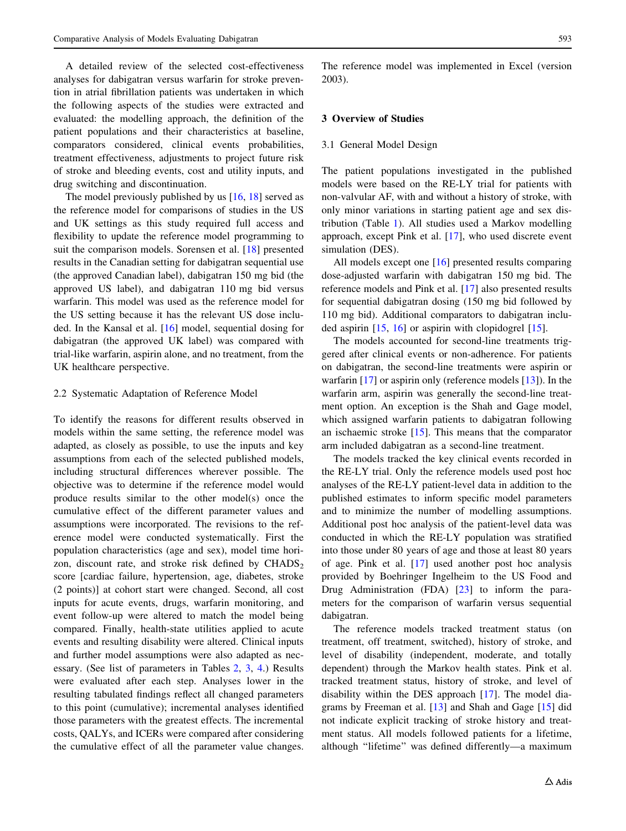A detailed review of the selected cost-effectiveness analyses for dabigatran versus warfarin for stroke prevention in atrial fibrillation patients was undertaken in which the following aspects of the studies were extracted and evaluated: the modelling approach, the definition of the patient populations and their characteristics at baseline, comparators considered, clinical events probabilities, treatment effectiveness, adjustments to project future risk of stroke and bleeding events, cost and utility inputs, and drug switching and discontinuation.

The model previously published by us  $[16, 18]$  $[16, 18]$  $[16, 18]$  $[16, 18]$  served as the reference model for comparisons of studies in the US and UK settings as this study required full access and flexibility to update the reference model programming to suit the comparison models. Sorensen et al. [\[18](#page-15-0)] presented results in the Canadian setting for dabigatran sequential use (the approved Canadian label), dabigatran 150 mg bid (the approved US label), and dabigatran 110 mg bid versus warfarin. This model was used as the reference model for the US setting because it has the relevant US dose included. In the Kansal et al. [\[16](#page-15-0)] model, sequential dosing for dabigatran (the approved UK label) was compared with trial-like warfarin, aspirin alone, and no treatment, from the UK healthcare perspective.

#### 2.2 Systematic Adaptation of Reference Model

To identify the reasons for different results observed in models within the same setting, the reference model was adapted, as closely as possible, to use the inputs and key assumptions from each of the selected published models, including structural differences wherever possible. The objective was to determine if the reference model would produce results similar to the other model(s) once the cumulative effect of the different parameter values and assumptions were incorporated. The revisions to the reference model were conducted systematically. First the population characteristics (age and sex), model time horizon, discount rate, and stroke risk defined by  $CHADS<sub>2</sub>$ score [cardiac failure, hypertension, age, diabetes, stroke (2 points)] at cohort start were changed. Second, all cost inputs for acute events, drugs, warfarin monitoring, and event follow-up were altered to match the model being compared. Finally, health-state utilities applied to acute events and resulting disability were altered. Clinical inputs and further model assumptions were also adapted as necessary. (See list of parameters in Tables [2](#page-5-0), [3,](#page-6-0) [4.](#page-7-0)) Results were evaluated after each step. Analyses lower in the resulting tabulated findings reflect all changed parameters to this point (cumulative); incremental analyses identified those parameters with the greatest effects. The incremental costs, QALYs, and ICERs were compared after considering the cumulative effect of all the parameter value changes.

The reference model was implemented in Excel (version 2003).

### 3 Overview of Studies

## 3.1 General Model Design

The patient populations investigated in the published models were based on the RE-LY trial for patients with non-valvular AF, with and without a history of stroke, with only minor variations in starting patient age and sex distribution (Table [1](#page-2-0)). All studies used a Markov modelling approach, except Pink et al. [[17\]](#page-15-0), who used discrete event simulation (DES).

All models except one [[16\]](#page-15-0) presented results comparing dose-adjusted warfarin with dabigatran 150 mg bid. The reference models and Pink et al. [\[17](#page-15-0)] also presented results for sequential dabigatran dosing (150 mg bid followed by 110 mg bid). Additional comparators to dabigatran included aspirin  $[15, 16]$  $[15, 16]$  $[15, 16]$  $[15, 16]$  or aspirin with clopidogrel  $[15]$  $[15]$ .

The models accounted for second-line treatments triggered after clinical events or non-adherence. For patients on dabigatran, the second-line treatments were aspirin or warfarin  $[17]$  $[17]$  or aspirin only (reference models  $[13]$  $[13]$ ). In the warfarin arm, aspirin was generally the second-line treatment option. An exception is the Shah and Gage model, which assigned warfarin patients to dabigatran following an ischaemic stroke [\[15](#page-15-0)]. This means that the comparator arm included dabigatran as a second-line treatment.

The models tracked the key clinical events recorded in the RE-LY trial. Only the reference models used post hoc analyses of the RE-LY patient-level data in addition to the published estimates to inform specific model parameters and to minimize the number of modelling assumptions. Additional post hoc analysis of the patient-level data was conducted in which the RE-LY population was stratified into those under 80 years of age and those at least 80 years of age. Pink et al. [\[17](#page-15-0)] used another post hoc analysis provided by Boehringer Ingelheim to the US Food and Drug Administration (FDA) [[23\]](#page-15-0) to inform the parameters for the comparison of warfarin versus sequential dabigatran.

The reference models tracked treatment status (on treatment, off treatment, switched), history of stroke, and level of disability (independent, moderate, and totally dependent) through the Markov health states. Pink et al. tracked treatment status, history of stroke, and level of disability within the DES approach [\[17](#page-15-0)]. The model diagrams by Freeman et al. [\[13](#page-15-0)] and Shah and Gage [[15\]](#page-15-0) did not indicate explicit tracking of stroke history and treatment status. All models followed patients for a lifetime, although ''lifetime'' was defined differently—a maximum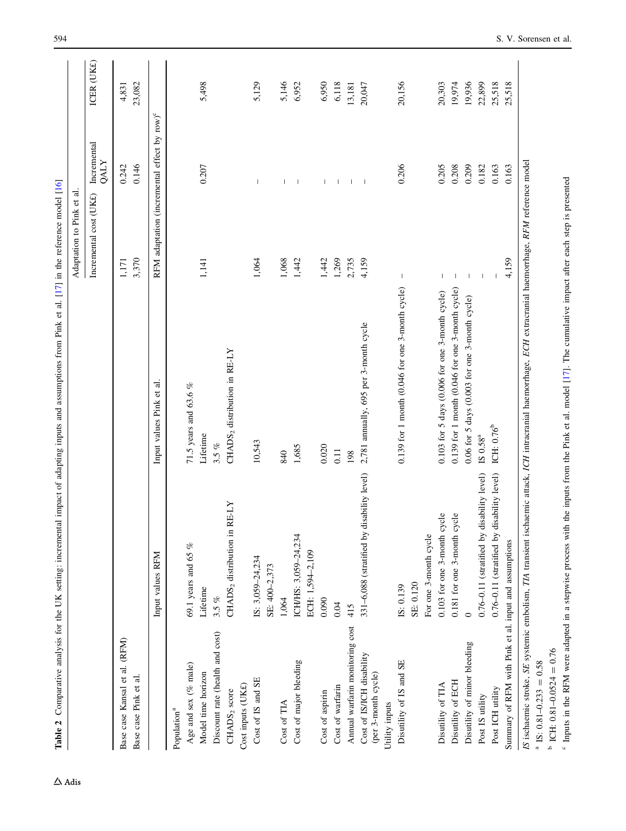|                                                       |                                                      |                                                      | Adaptation to Pink et al.                               |                            |            |
|-------------------------------------------------------|------------------------------------------------------|------------------------------------------------------|---------------------------------------------------------|----------------------------|------------|
|                                                       |                                                      |                                                      | Incremental cost (UK£)                                  | Incremental<br><b>QALY</b> | ICER (UK£) |
| Base case Kansal et al. (RFM)                         |                                                      |                                                      | 1,171                                                   | 0.242                      | 4,831      |
| Base case Pink et al.                                 |                                                      |                                                      | 3,370                                                   | 0.146                      | 23,082     |
|                                                       | Input values RFM                                     | Input values Pink et al.                             | RFM adaptation (incremental effect by row) <sup>c</sup> |                            |            |
| Population <sup>a</sup>                               |                                                      |                                                      |                                                         |                            |            |
| Age and sex (% male)                                  | 69.1 years and 65 %                                  | 71.5 years and 63.6 $%$                              |                                                         |                            |            |
| Model time horizon                                    | Lifetime                                             | Lifetime                                             | 1,141                                                   | 0.207                      | 5,498      |
| Discount rate (health and cost)                       | $3.5\%$                                              | $3.5\%$                                              |                                                         |                            |            |
| CHADS <sub>2</sub> score                              | F-LY<br>CHADS <sub>2</sub> distribution in R         | CHADS <sub>2</sub> distribution in RE-LY             |                                                         |                            |            |
| Cost inputs (UK£)                                     |                                                      |                                                      |                                                         |                            |            |
| Cost of IS and SE                                     | IS: 3,059-24,234                                     | 10,543                                               | 1,064                                                   |                            | 5,129      |
|                                                       | SE: 400-2,373                                        |                                                      |                                                         |                            |            |
| Cost of TIA                                           | 1,064                                                | 840                                                  | 1,068                                                   |                            | 5,146      |
| Cost of major bleeding                                | ICH/HS: 3,059-24,234                                 | 1,685                                                | 1,442                                                   | $\overline{\phantom{a}}$   | 6,952      |
|                                                       | ECH: 1,594-2,109                                     |                                                      |                                                         |                            |            |
| Cost of aspirin                                       | 0.090                                                | 0.020                                                | 1,442                                                   |                            | 6,950      |
| Cost of warfarin                                      | 0.04                                                 | 0.11                                                 | 1,269                                                   |                            | 6,118      |
| Annual warfarin monitoring cost                       | 415                                                  | 198                                                  | 2,735                                                   | J.                         | 13,181     |
| Cost of IS/ICH disability<br>(per 3-month cycle)      | sability level)<br>331-6,088 (stratified by di-      | 2,781 annually, 695 per 3-month cycle                | 4,159                                                   | $\overline{\phantom{a}}$   | 20,047     |
| Utility inputs                                        |                                                      |                                                      |                                                         |                            |            |
| Disutility of IS and SE                               | IS: 0.139                                            | $0.139$ for 1 month ( $0.046$ for one 3-month cycle) | $\mathbf{I}$                                            | 0.206                      | 20,156     |
|                                                       | SE: 0.120                                            |                                                      |                                                         |                            |            |
|                                                       | For one 3-month cycle                                |                                                      |                                                         |                            |            |
| Disutility of TIA                                     | 0.103 for one 3-month cycle                          | $0.103$ for 5 days (0.006 for one 3-month cycle)     |                                                         | 0.205                      | 20,303     |
| Disutility of ECH                                     | 0.181 for one 3-month cycle                          | $0.139$ for 1 month $(0.046$ for one 3-month cycle)  |                                                         | 0.208                      | 19,974     |
| Disutility of minor bleeding                          | $\circ$                                              | 0.06 for 5 days (0.003 for one 3-month cycle)        |                                                         | 0.209                      | 19,936     |
| Post IS utility                                       | sability level)<br>$0.76 - 0.11$ (stratified by dis- | IS $0.58^a$                                          | $\overline{\phantom{a}}$                                | 0.182                      | 22,899     |
| Post ICH utility                                      | 0.76-0.11 (stratified by disability level)           | ICH: 0.76 <sup>b</sup>                               |                                                         | 0.163                      | 25,518     |
| Summary of RFM with Pink et al. input and assumptions |                                                      |                                                      | 4,159                                                   | 0.163                      | 25,518     |

<span id="page-5-0"></span>

 $^{b}$  ICH: 0.81-0.0524 = 0.76  $^{6}$  ICH: 0.81–0.0524 = 0.76

<sup>c</sup> Inputs in the RFM were adapted in a stepwise process with the inputs from the Pink et al. model [17]. The cumulative impact after each step is presented Inputs in the RFM were adapted in a stepwise process with the inputs from the Pink et al. model [[17](#page-15-0)]. The cumulative impact after each step is presented

 $\Delta$ Adis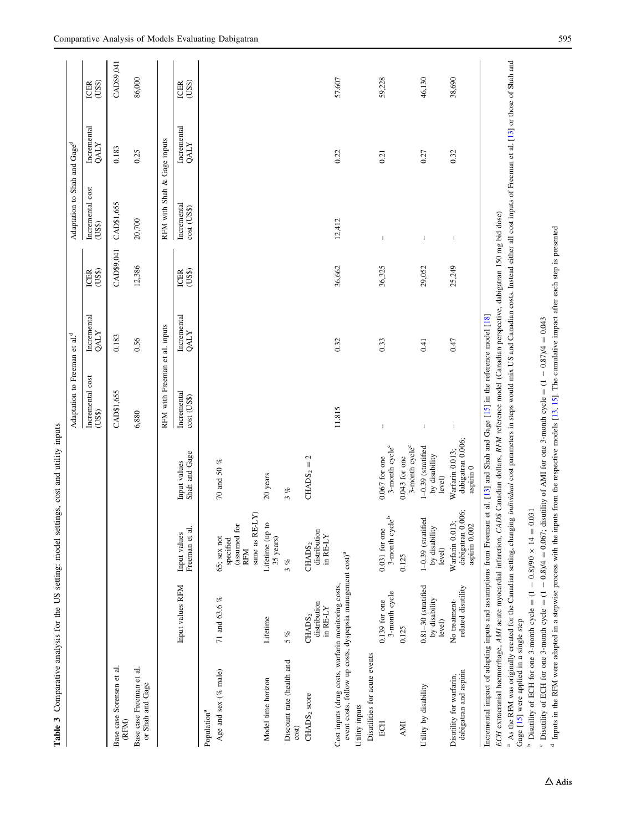<span id="page-6-0"></span>

|                                                                                                                                                                                                                                          |                                                    |                                                       |                                                     | Adaptation to Freeman et al. <sup>d</sup> |                                                                       |               | Adaptation to Shah and Gaged   |                                                                           |                      |
|------------------------------------------------------------------------------------------------------------------------------------------------------------------------------------------------------------------------------------------|----------------------------------------------------|-------------------------------------------------------|-----------------------------------------------------|-------------------------------------------|-----------------------------------------------------------------------|---------------|--------------------------------|---------------------------------------------------------------------------|----------------------|
|                                                                                                                                                                                                                                          |                                                    |                                                       |                                                     |                                           |                                                                       |               |                                |                                                                           |                      |
|                                                                                                                                                                                                                                          |                                                    |                                                       |                                                     | Incremental cost<br>(USS)                 | $\begin{array}{c} {\rm {\bf International}}\\ {\rm QALY} \end{array}$ | (USS)<br>ICER | Incremental cost<br>(US\$)     | $\begin{array}{c} {\rm {\bf International} } \\ {\rm QAL}\,Y \end{array}$ | (USS)<br><b>ICER</b> |
| Base case Sorensen et al.<br>(RFM)                                                                                                                                                                                                       |                                                    |                                                       |                                                     | CAD\$1,655                                | 0.183                                                                 | CAD\$9,041    | CAD\$1,655                     | 0.183                                                                     | CAD\$9,041           |
| Base case Freeman et al.<br>or Shah and Gage                                                                                                                                                                                             |                                                    |                                                       |                                                     | 6,880                                     | 0.56                                                                  | 12,386        | 20,700                         | 0.25                                                                      | 86,000               |
|                                                                                                                                                                                                                                          |                                                    |                                                       |                                                     | RFM with Freeman et al. inputs            |                                                                       |               | RFM with Shah & Gage inputs    |                                                                           |                      |
|                                                                                                                                                                                                                                          | Input values RFM                                   | Freeman et al.<br>Input values                        | Shah and Gage<br>Input values                       | Incremental<br>cost (US\$)                | $\begin{array}{ll} \text{Incremental} \\ \text{QALY} \end{array}$     | (USS)<br>ICER | Incremental<br>cost (US\$)     | Incremental<br>QALY                                                       | (USS)<br><b>ICER</b> |
| Population <sup>a</sup>                                                                                                                                                                                                                  |                                                    |                                                       |                                                     |                                           |                                                                       |               |                                |                                                                           |                      |
| Age and sex (% male)                                                                                                                                                                                                                     | 71 and 63.6 %                                      | $65;$ sex not                                         | 70 and 50 $%$                                       |                                           |                                                                       |               |                                |                                                                           |                      |
|                                                                                                                                                                                                                                          |                                                    | (assumed for<br>specified<br><b>RFM</b>               |                                                     |                                           |                                                                       |               |                                |                                                                           |                      |
|                                                                                                                                                                                                                                          |                                                    | same as RE-LY)                                        |                                                     |                                           |                                                                       |               |                                |                                                                           |                      |
| Model time horizon                                                                                                                                                                                                                       | Lifetime                                           | Lifetime (up to<br>35 years)                          | 20 years                                            |                                           |                                                                       |               |                                |                                                                           |                      |
| Discount rate (health and<br>$\cos t$                                                                                                                                                                                                    | 5 %                                                | $3 \%$                                                | $3$ %                                               |                                           |                                                                       |               |                                |                                                                           |                      |
| CHADS <sub>2</sub> score                                                                                                                                                                                                                 | distribution<br>in RE-LY<br>CHADS <sub>2</sub>     | distribution<br>in RE-LY<br>CHADS <sub>2</sub>        | 2<br>$\parallel$<br>CHADS <sub>2</sub>              |                                           |                                                                       |               |                                |                                                                           |                      |
| event costs, follow up costs, dyspepsia management cost) <sup>a</sup><br>Cost inputs (drug costs, warfarin monitoring costs,                                                                                                             |                                                    |                                                       |                                                     | 11,815                                    | 0.32                                                                  | 36,662        | 12,412                         | 0.22                                                                      | 57,607               |
| Utility inputs                                                                                                                                                                                                                           |                                                    |                                                       |                                                     |                                           |                                                                       |               |                                |                                                                           |                      |
| Disutilities for acute events                                                                                                                                                                                                            |                                                    |                                                       |                                                     |                                           |                                                                       |               |                                |                                                                           |                      |
| ECH                                                                                                                                                                                                                                      | 3-month cycle<br>$0.139$ for one                   | 3-month cycle <sup>b</sup><br>$0.031$ for one         | 3-month cycle <sup>c</sup><br>$0.067$ for one       | T                                         | 0.33                                                                  | 36,325        |                                | 0.21                                                                      | 59,228               |
| <b>AMI</b>                                                                                                                                                                                                                               | 0.125                                              | 0.125                                                 | 3-month cycle <sup>c</sup><br>$0.043$ for one       |                                           |                                                                       |               |                                |                                                                           |                      |
| Utility by disability                                                                                                                                                                                                                    | $0.81 - 30$ (stratified<br>by disability<br>level) | $1-0.39$ (stratified<br>by disability<br>level)       | $1-0.39$ (stratified<br>by disability<br>level)     | $\overline{1}$                            | 0.41                                                                  | 29,052        | $\overline{1}$                 | 0.27                                                                      | 46,130               |
| dabigatran and aspirin<br>Disutility for warfarin,                                                                                                                                                                                       | related disutility<br>No treatment-                | dabigatran 0.006;<br>Warfarin 0.013;<br>aspirin 0.002 | dabigatran 0.006;<br>Warfarin 0.013;<br>aspirin $0$ | $\mathsf{I}$                              | 0.47                                                                  | 25,249        | $\begin{array}{c} \end{array}$ | 0.32                                                                      | 38,690               |
| Incremental impact of adapting inputs and assumptions from Freeman et al. [13] and Shah and Gage [15] in the reference model [18]                                                                                                        |                                                    |                                                       |                                                     |                                           |                                                                       |               |                                |                                                                           |                      |
| ECH extracranial haemorrhage, AMI acute myocardial infarction, CADS Canadian dollars, RFM reference model (Canadian perspective, dabigatran 150 mg bid dose)                                                                             |                                                    |                                                       |                                                     |                                           |                                                                       |               |                                |                                                                           |                      |
| <sup>a</sup> As the RFM was originally created for the Canadian setting, changing <i>individual</i> cost parameters in steps would mix US and Canadian costs. Instead either all cost inputs of Freeman et al. [13] or those of Shah and |                                                    |                                                       |                                                     |                                           |                                                                       |               |                                |                                                                           |                      |
| Gage [15] were applied in a single step                                                                                                                                                                                                  |                                                    |                                                       |                                                     |                                           |                                                                       |               |                                |                                                                           |                      |
| <b>b</b> Disutility of ECH for one 3-month cycle = $(1 - 0.8)/90 \times 14 =$                                                                                                                                                            |                                                    | 0.031                                                 |                                                     |                                           |                                                                       |               |                                |                                                                           |                      |

c

Disutility of ECH for one 3-month cycle

= (1

 $- 0.8) / 4$ 

 $= 0.067$ ; disutility of AMI for one 3-month cycle

<sup>d</sup> Inputs in the RFM were adapted in a stepwise process with the inputs from the respective models [13, 15]. The cumulative impact after each step is presented Inputs in the RFM were adapted in a stepwise process with the inputs from the respective models [[13](#page-15-0), [15](#page-15-0)]. The cumulative impact after each step is presented

= (1

 $-0.87)$ /4

 $= 0.043$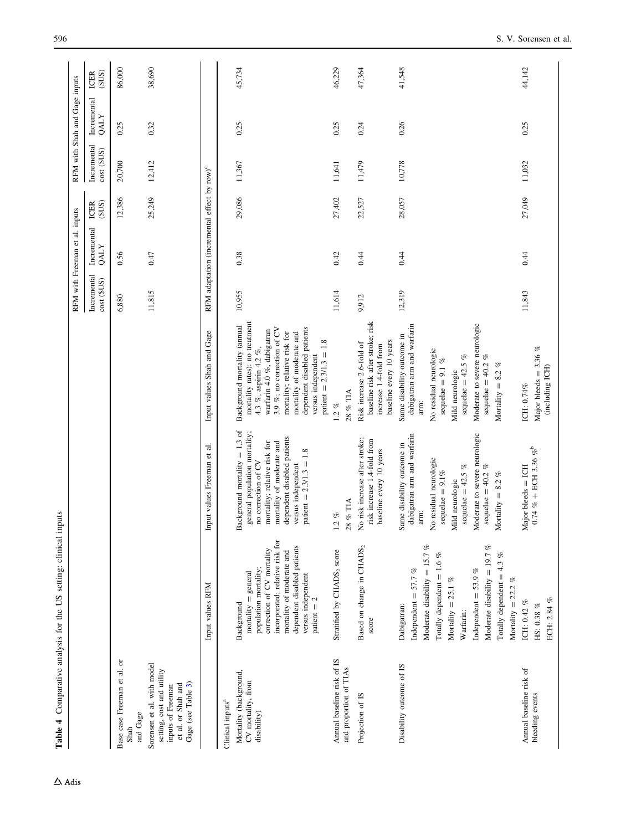<span id="page-7-0"></span>

|                                                                                                                          |                                                                                                                                                                                                                                                                                |                                                                                                                                                                                                                                                |                                                                                                                                                                                                                                                                                                                 |                            | RFM with Freeman et al. inputs                          |                |                            | RFM with Shah and Gage inputs |                      |
|--------------------------------------------------------------------------------------------------------------------------|--------------------------------------------------------------------------------------------------------------------------------------------------------------------------------------------------------------------------------------------------------------------------------|------------------------------------------------------------------------------------------------------------------------------------------------------------------------------------------------------------------------------------------------|-----------------------------------------------------------------------------------------------------------------------------------------------------------------------------------------------------------------------------------------------------------------------------------------------------------------|----------------------------|---------------------------------------------------------|----------------|----------------------------|-------------------------------|----------------------|
|                                                                                                                          |                                                                                                                                                                                                                                                                                |                                                                                                                                                                                                                                                |                                                                                                                                                                                                                                                                                                                 | Incremental<br>cost (\$US) | Incremental<br><b>QALY</b>                              | ICER<br>(\$US) | Incremental<br>cost (\$US) | Incremental<br><b>QALY</b>    | (3US)<br><b>ICER</b> |
| Base case Freeman et al. or<br>and Gage<br>Shah                                                                          |                                                                                                                                                                                                                                                                                |                                                                                                                                                                                                                                                |                                                                                                                                                                                                                                                                                                                 | 6,880                      | 0.56                                                    | 12,386         | 20,700                     | 0.25                          | 86,000               |
| Sorensen et al. with model<br>setting, cost and utility<br>Gage (see Table 3)<br>et al. or Shah and<br>inputs of Freeman |                                                                                                                                                                                                                                                                                |                                                                                                                                                                                                                                                |                                                                                                                                                                                                                                                                                                                 | 11,815                     | 0.47                                                    | 25,249         | 12,412                     | 0.32                          | 38,690               |
|                                                                                                                          | Input values RFM                                                                                                                                                                                                                                                               | put values Freeman et al.<br>드                                                                                                                                                                                                                 | Input values Shah and Gage                                                                                                                                                                                                                                                                                      |                            | RFM adaptation (incremental effect by row) <sup>c</sup> |                |                            |                               |                      |
| Clinical inputs <sup>a</sup>                                                                                             |                                                                                                                                                                                                                                                                                |                                                                                                                                                                                                                                                |                                                                                                                                                                                                                                                                                                                 |                            |                                                         |                |                            |                               |                      |
| Mortality (background,<br>CV mortality, from<br>disability)                                                              | incorporated; relative risk for<br>dependent disabled patients<br>correction of CV mortality<br>mortality of moderate and<br>population mortality;<br>$mortality = general$<br>versus independent<br>patient $= 2$<br>Background                                               | Background mortality = $1.3$ of<br>general population mortality;<br>dependent disabled patients<br>mortality of moderate and<br>mortality; relative risk for<br>patient = $2.3/1.3 = 1.8$<br>no correction of ${\rm CV}$<br>versus independent | mortality rates): no treatment<br>Background mortality (annual<br>3.9 %; no correction of CV<br>dependent disabled patients<br>warfarin 4.0 %, dabigatran<br>mortality; relative risk for<br>mortality of moderate and<br>$\frac{8}{1}$<br>4.3 %, aspirin 4.2 %,<br>patient = $2.3/1.3 =$<br>versus independent | 10,955                     | 0.38                                                    | 29,086         | 11,367                     | 0.25                          | 45,734               |
| Annual baseline risk of IS<br>and proportion of TIAs                                                                     | Stratified by CHADS <sub>2</sub> score                                                                                                                                                                                                                                         | $28~\%$ TIA<br>$1.2~\%$                                                                                                                                                                                                                        | 28 % TIA<br>$1.2\%$                                                                                                                                                                                                                                                                                             | 11,614                     | 0.42                                                    | 27,402         | 11,641                     | 0.25                          | 46,229               |
| Projection of IS                                                                                                         | Based on change in CHADS <sub>2</sub><br>score                                                                                                                                                                                                                                 | No risk increase after stroke;<br>risk increase 1.4-fold from<br>baseline every 10 years                                                                                                                                                       | baseline risk after stroke; risk<br>baseline every 10 years<br>Risk increase 2.6-fold of<br>increase 1.4-fold from                                                                                                                                                                                              | 9,912                      | 0.44                                                    | 22,527         | 11,479                     | 0.24                          | 47,364               |
| Disability outcome of IS                                                                                                 | Moderate disability = $15.7 \%$<br>Moderate disability = $19.7 \%$<br>$1.6~\%$<br>Totally dependent = 4.3 $\%$<br>Independent = 53.9 %<br>Independent = 57.7 %<br>$\parallel$<br>Mortality = $25.1\%$<br>Mortality = $22.2\%$<br>Totally dependent<br>Dabigatran:<br>Warfarin: | Moderate to severe neurologic<br>dabigatran arm and warfarin<br>Same disability outcome in<br>No residual neurologic<br>sequelae = $42.5\%$<br>sequelae = $40.2\%$<br>sequelae = $9.1\%$<br>of<br>Mild neurologic<br>Mortality = $8.2$<br>arm: | dabigatran arm and warfarin<br>Moderate to severe neurologic<br>Same disability outcome in<br>No residual neurologic<br>sequelae = $42.5\%$<br>sequelae = $40.2\%$<br>sequelae = $9.1\%$<br>Mortality = $8.2\%$<br>Mild neurologic<br>arm:                                                                      | 12,319                     | 0.44                                                    | 28,057         | 10,778                     | 0.26                          | 41,548               |
| Annual baseline risk of<br>bleeding events                                                                               | ECH: 2.84 $\%$<br>o,<br>HS: 0.38 %<br>ICH: 0.42                                                                                                                                                                                                                                | $0.74~\%$ + ECH 3.36 $\%$<br>Major bleeds = ICH                                                                                                                                                                                                | Major bleeds = $3.36\%$<br>(including ICH)<br>ICH: 0.74%                                                                                                                                                                                                                                                        | 11,843                     | 0.44                                                    | 27,049         | 11,032                     | 0.25                          | 44,142               |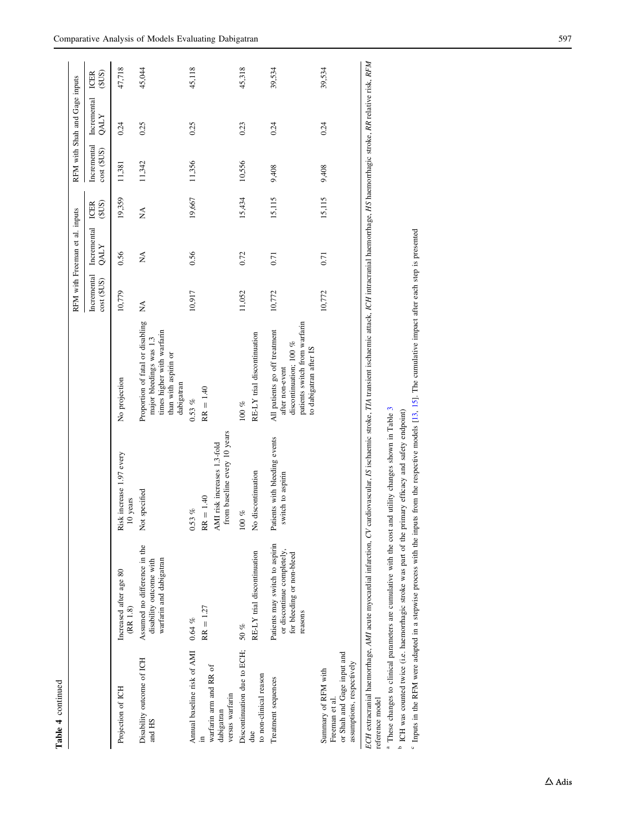| ∍ |
|---|
|   |
|   |
| ∍ |
|   |

|                                                                                                  |                                                                                                      |                                                                            |                                                                                                                                                                                                                    |                            | RFM with Freeman et al. inputs |               |                            | RFM with Shah and Gage inputs |               |
|--------------------------------------------------------------------------------------------------|------------------------------------------------------------------------------------------------------|----------------------------------------------------------------------------|--------------------------------------------------------------------------------------------------------------------------------------------------------------------------------------------------------------------|----------------------------|--------------------------------|---------------|----------------------------|-------------------------------|---------------|
|                                                                                                  |                                                                                                      |                                                                            |                                                                                                                                                                                                                    | Incremental<br>cost (\$US) | Incremental<br><b>QALY</b>     | (5US)<br>ICER | Incremental<br>cost (\$US) | Incremental<br><b>QALY</b>    | (5US)<br>ICER |
| Projection of ICH                                                                                | Increased after age 80<br>(RR 1.8)                                                                   | Risk increase 1.97 every<br>10 years                                       | No projection                                                                                                                                                                                                      | 10,779                     | 0.56                           | 19,359        | 11,381                     | 0.24                          | 47,718        |
| Disability outcome of ICH<br>and HS                                                              | Assumed no difference in the<br>warfarin and dabigatran<br>disability outcome with                   | Not specified                                                              | Proportion of fatal or disabling<br>times higher with warfarin<br>major bleedings was 1.3<br>than with aspirin or<br>dabigatran                                                                                    | $\mathbb{R}^{\mathsf{A}}$  | $\lessapprox$                  | $\mathbb{E}$  | 11,342                     | 0.25                          | 45,044        |
| Annual baseline risk of AMI 0.64 %                                                               |                                                                                                      | $0.53\%$                                                                   | $0.53\%$                                                                                                                                                                                                           | 10,917                     | 0.56                           | 19,667        | 11,356                     | 0.25                          | 45,118        |
| warfarin arm and RR of<br>versus warfarin<br>dabigatran                                          | $RR = 1.27$                                                                                          | from baseline every 10 years<br>AMI risk increases 1.3-fold<br>$RR = 1.40$ | $RR = 1.40$                                                                                                                                                                                                        |                            |                                |               |                            |                               |               |
| Discontinuation due to ECH;                                                                      | $50~\%$                                                                                              | $100\%$                                                                    | $100\%$                                                                                                                                                                                                            | 11,052                     | 0.72                           | 15,434        | 10,556                     | 0.23                          | 45,318        |
| to non-clinical reason<br>due                                                                    | RE-LY trial discontinuation                                                                          | No discontinuation                                                         | RE-LY trial discontinuation                                                                                                                                                                                        |                            |                                |               |                            |                               |               |
| Treatment sequences                                                                              | Patients may switch to aspirin<br>or discontinue completely,<br>for bleeding or non-bleed<br>reasons | Patients with bleeding events<br>switch to aspirin                         | patients switch from warfarin<br>All patients go off treatment<br>discontinuation; 100 %<br>to dabigatran after IS<br>after non-event                                                                              | 10,772                     | 0.71                           | 15,115        | 9,408                      | 0.24                          | 39,534        |
| or Shah and Gage input and<br>assumptions, respectively<br>Summary of RFM with<br>Freeman et al. |                                                                                                      |                                                                            |                                                                                                                                                                                                                    | 10,772                     | 0.71                           | 15,115        | 9,408                      | 0.24                          | 39,534        |
|                                                                                                  |                                                                                                      |                                                                            | ECH extracranial haemorrhage, AMI acute myocardial infarction, CV cardiovascular, IS ischaemic stroke, TIA transient ischaemic attack, ICH intracranial haemorrhage, HS haemorrhagic stroke, RR relative risk, RFM |                            |                                |               |                            |                               |               |

ã ige. ر<br>ت ں<br>ش ś .<br>ಶ್ರ  $\sqrt{ECH}$  extracranial  $h$  reference model reference model

<sup>a</sup> These changes to clinical parameters are cumulative with the cost and utility changes shown in Table 3 These changes to clinical parameters are cumulative with the cost and utility changes shown in Table [3](#page-6-0)

<sup>b</sup> ICH was counted twice (i.e. haemorrhagic stroke was part of the primary efficacy and safety endpoint) ICH was counted twice (i.e. haemorrhagic stroke was part of the primary efficacy and safety endpoint)

<sup>6</sup> Inputs in the RFM were adapted in a stepwise process with the inputs from the respective models [13, 15]. The cumulative impact after each step is presented Inputs in the RFM were adapted in a stepwise process with the inputs from the respective models [[13](#page-15-0), [15](#page-15-0)]. The cumulative impact after each step is presented

 $\Delta$ Adis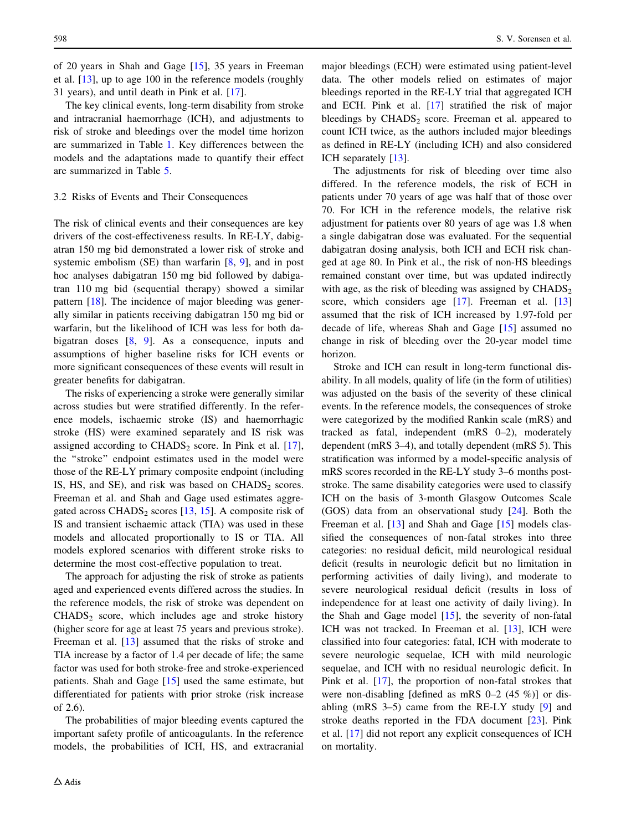of 20 years in Shah and Gage [\[15](#page-15-0)], 35 years in Freeman et al. [[13\]](#page-15-0), up to age 100 in the reference models (roughly 31 years), and until death in Pink et al. [[17\]](#page-15-0).

The key clinical events, long-term disability from stroke and intracranial haemorrhage (ICH), and adjustments to risk of stroke and bleedings over the model time horizon are summarized in Table [1.](#page-2-0) Key differences between the models and the adaptations made to quantify their effect are summarized in Table [5](#page-11-0).

# 3.2 Risks of Events and Their Consequences

The risk of clinical events and their consequences are key drivers of the cost-effectiveness results. In RE-LY, dabigatran 150 mg bid demonstrated a lower risk of stroke and systemic embolism (SE) than warfarin [[8](#page-15-0), [9](#page-15-0)], and in post hoc analyses dabigatran 150 mg bid followed by dabigatran 110 mg bid (sequential therapy) showed a similar pattern [[18\]](#page-15-0). The incidence of major bleeding was generally similar in patients receiving dabigatran 150 mg bid or warfarin, but the likelihood of ICH was less for both dabigatran doses [[8,](#page-15-0) [9\]](#page-15-0). As a consequence, inputs and assumptions of higher baseline risks for ICH events or more significant consequences of these events will result in greater benefits for dabigatran.

The risks of experiencing a stroke were generally similar across studies but were stratified differently. In the reference models, ischaemic stroke (IS) and haemorrhagic stroke (HS) were examined separately and IS risk was assigned according to  $CHADS<sub>2</sub>$  score. In Pink et al. [\[17](#page-15-0)], the ''stroke'' endpoint estimates used in the model were those of the RE-LY primary composite endpoint (including IS, HS, and SE), and risk was based on  $CHADS<sub>2</sub>$  scores. Freeman et al. and Shah and Gage used estimates aggregated across  $CHADS<sub>2</sub>$  scores [[13,](#page-15-0) [15](#page-15-0)]. A composite risk of IS and transient ischaemic attack (TIA) was used in these models and allocated proportionally to IS or TIA. All models explored scenarios with different stroke risks to determine the most cost-effective population to treat.

The approach for adjusting the risk of stroke as patients aged and experienced events differed across the studies. In the reference models, the risk of stroke was dependent on  $CHADS<sub>2</sub>$  score, which includes age and stroke history (higher score for age at least 75 years and previous stroke). Freeman et al. [[13\]](#page-15-0) assumed that the risks of stroke and TIA increase by a factor of 1.4 per decade of life; the same factor was used for both stroke-free and stroke-experienced patients. Shah and Gage [[15\]](#page-15-0) used the same estimate, but differentiated for patients with prior stroke (risk increase of 2.6).

The probabilities of major bleeding events captured the important safety profile of anticoagulants. In the reference models, the probabilities of ICH, HS, and extracranial major bleedings (ECH) were estimated using patient-level data. The other models relied on estimates of major bleedings reported in the RE-LY trial that aggregated ICH and ECH. Pink et al. [\[17](#page-15-0)] stratified the risk of major bleedings by  $CHADS<sub>2</sub>$  score. Freeman et al. appeared to count ICH twice, as the authors included major bleedings as defined in RE-LY (including ICH) and also considered ICH separately [[13\]](#page-15-0).

The adjustments for risk of bleeding over time also differed. In the reference models, the risk of ECH in patients under 70 years of age was half that of those over 70. For ICH in the reference models, the relative risk adjustment for patients over 80 years of age was 1.8 when a single dabigatran dose was evaluated. For the sequential dabigatran dosing analysis, both ICH and ECH risk changed at age 80. In Pink et al., the risk of non-HS bleedings remained constant over time, but was updated indirectly with age, as the risk of bleeding was assigned by  $\text{CHADS}_2$ score, which considers age [\[17](#page-15-0)]. Freeman et al. [[13\]](#page-15-0) assumed that the risk of ICH increased by 1.97-fold per decade of life, whereas Shah and Gage [\[15](#page-15-0)] assumed no change in risk of bleeding over the 20-year model time horizon.

Stroke and ICH can result in long-term functional disability. In all models, quality of life (in the form of utilities) was adjusted on the basis of the severity of these clinical events. In the reference models, the consequences of stroke were categorized by the modified Rankin scale (mRS) and tracked as fatal, independent (mRS 0–2), moderately dependent (mRS 3–4), and totally dependent (mRS 5). This stratification was informed by a model-specific analysis of mRS scores recorded in the RE-LY study 3–6 months poststroke. The same disability categories were used to classify ICH on the basis of 3-month Glasgow Outcomes Scale (GOS) data from an observational study [[24\]](#page-15-0). Both the Freeman et al. [\[13\]](#page-15-0) and Shah and Gage [\[15](#page-15-0)] models classified the consequences of non-fatal strokes into three categories: no residual deficit, mild neurological residual deficit (results in neurologic deficit but no limitation in performing activities of daily living), and moderate to severe neurological residual deficit (results in loss of independence for at least one activity of daily living). In the Shah and Gage model  $[15]$  $[15]$ , the severity of non-fatal ICH was not tracked. In Freeman et al. [[13\]](#page-15-0), ICH were classified into four categories: fatal, ICH with moderate to severe neurologic sequelae, ICH with mild neurologic sequelae, and ICH with no residual neurologic deficit. In Pink et al. [[17\]](#page-15-0), the proportion of non-fatal strokes that were non-disabling [defined as mRS  $0-2$  (45 %)] or disabling (mRS 3–5) came from the RE-LY study [[9\]](#page-15-0) and stroke deaths reported in the FDA document [\[23](#page-15-0)]. Pink et al. [[17](#page-15-0)] did not report any explicit consequences of ICH on mortality.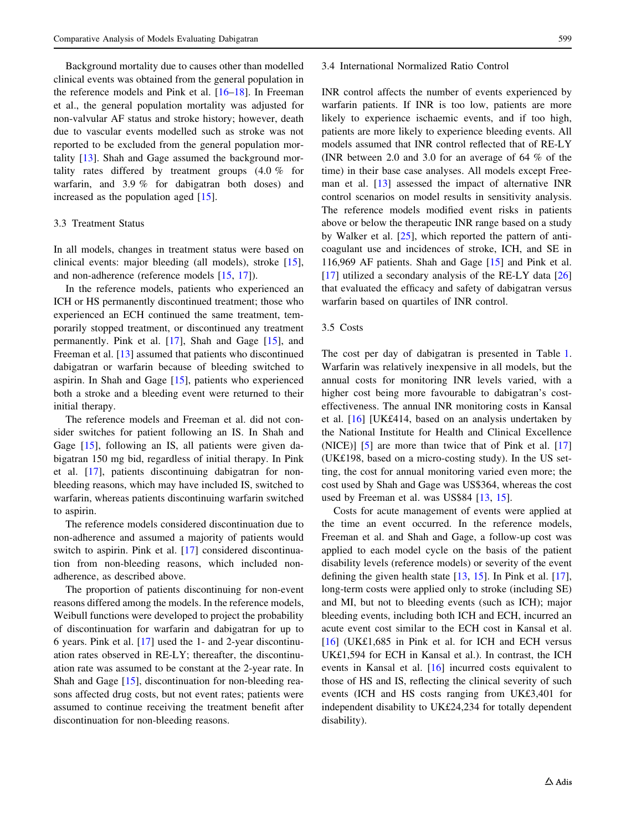Background mortality due to causes other than modelled clinical events was obtained from the general population in the reference models and Pink et al. [[16–18\]](#page-15-0). In Freeman et al., the general population mortality was adjusted for non-valvular AF status and stroke history; however, death due to vascular events modelled such as stroke was not reported to be excluded from the general population mortality [[13\]](#page-15-0). Shah and Gage assumed the background mortality rates differed by treatment groups (4.0 % for warfarin, and 3.9 % for dabigatran both doses) and increased as the population aged [\[15](#page-15-0)].

## 3.3 Treatment Status

In all models, changes in treatment status were based on clinical events: major bleeding (all models), stroke [\[15](#page-15-0)], and non-adherence (reference models [[15,](#page-15-0) [17](#page-15-0)]).

In the reference models, patients who experienced an ICH or HS permanently discontinued treatment; those who experienced an ECH continued the same treatment, temporarily stopped treatment, or discontinued any treatment permanently. Pink et al. [[17\]](#page-15-0), Shah and Gage [\[15](#page-15-0)], and Freeman et al. [\[13](#page-15-0)] assumed that patients who discontinued dabigatran or warfarin because of bleeding switched to aspirin. In Shah and Gage [[15\]](#page-15-0), patients who experienced both a stroke and a bleeding event were returned to their initial therapy.

The reference models and Freeman et al. did not consider switches for patient following an IS. In Shah and Gage [\[15](#page-15-0)], following an IS, all patients were given dabigatran 150 mg bid, regardless of initial therapy. In Pink et al. [[17\]](#page-15-0), patients discontinuing dabigatran for nonbleeding reasons, which may have included IS, switched to warfarin, whereas patients discontinuing warfarin switched to aspirin.

The reference models considered discontinuation due to non-adherence and assumed a majority of patients would switch to aspirin. Pink et al. [[17\]](#page-15-0) considered discontinuation from non-bleeding reasons, which included nonadherence, as described above.

The proportion of patients discontinuing for non-event reasons differed among the models. In the reference models, Weibull functions were developed to project the probability of discontinuation for warfarin and dabigatran for up to 6 years. Pink et al. [[17\]](#page-15-0) used the 1- and 2-year discontinuation rates observed in RE-LY; thereafter, the discontinuation rate was assumed to be constant at the 2-year rate. In Shah and Gage [\[15](#page-15-0)], discontinuation for non-bleeding reasons affected drug costs, but not event rates; patients were assumed to continue receiving the treatment benefit after discontinuation for non-bleeding reasons.

#### 3.4 International Normalized Ratio Control

INR control affects the number of events experienced by warfarin patients. If INR is too low, patients are more likely to experience ischaemic events, and if too high, patients are more likely to experience bleeding events. All models assumed that INR control reflected that of RE-LY (INR between 2.0 and 3.0 for an average of 64 % of the time) in their base case analyses. All models except Freeman et al. [\[13](#page-15-0)] assessed the impact of alternative INR control scenarios on model results in sensitivity analysis. The reference models modified event risks in patients above or below the therapeutic INR range based on a study by Walker et al. [\[25](#page-15-0)], which reported the pattern of anticoagulant use and incidences of stroke, ICH, and SE in 116,969 AF patients. Shah and Gage [\[15](#page-15-0)] and Pink et al. [\[17](#page-15-0)] utilized a secondary analysis of the RE-LY data [[26\]](#page-15-0) that evaluated the efficacy and safety of dabigatran versus warfarin based on quartiles of INR control.

# 3.5 Costs

The cost per day of dabigatran is presented in Table [1.](#page-2-0) Warfarin was relatively inexpensive in all models, but the annual costs for monitoring INR levels varied, with a higher cost being more favourable to dabigatran's costeffectiveness. The annual INR monitoring costs in Kansal et al. [\[16](#page-15-0)] [UK£414, based on an analysis undertaken by the National Institute for Health and Clinical Excellence (NICE)] [[5\]](#page-15-0) are more than twice that of Pink et al. [[17\]](#page-15-0) (UK£198, based on a micro-costing study). In the US setting, the cost for annual monitoring varied even more; the cost used by Shah and Gage was US\$364, whereas the cost used by Freeman et al. was US\$84 [\[13](#page-15-0), [15](#page-15-0)].

Costs for acute management of events were applied at the time an event occurred. In the reference models, Freeman et al. and Shah and Gage, a follow-up cost was applied to each model cycle on the basis of the patient disability levels (reference models) or severity of the event defining the given health state [[13,](#page-15-0) [15](#page-15-0)]. In Pink et al. [\[17](#page-15-0)], long-term costs were applied only to stroke (including SE) and MI, but not to bleeding events (such as ICH); major bleeding events, including both ICH and ECH, incurred an acute event cost similar to the ECH cost in Kansal et al. [\[16](#page-15-0)] (UK£1,685 in Pink et al. for ICH and ECH versus UK£1,594 for ECH in Kansal et al.). In contrast, the ICH events in Kansal et al. [\[16](#page-15-0)] incurred costs equivalent to those of HS and IS, reflecting the clinical severity of such events (ICH and HS costs ranging from UK£3,401 for independent disability to UK£24,234 for totally dependent disability).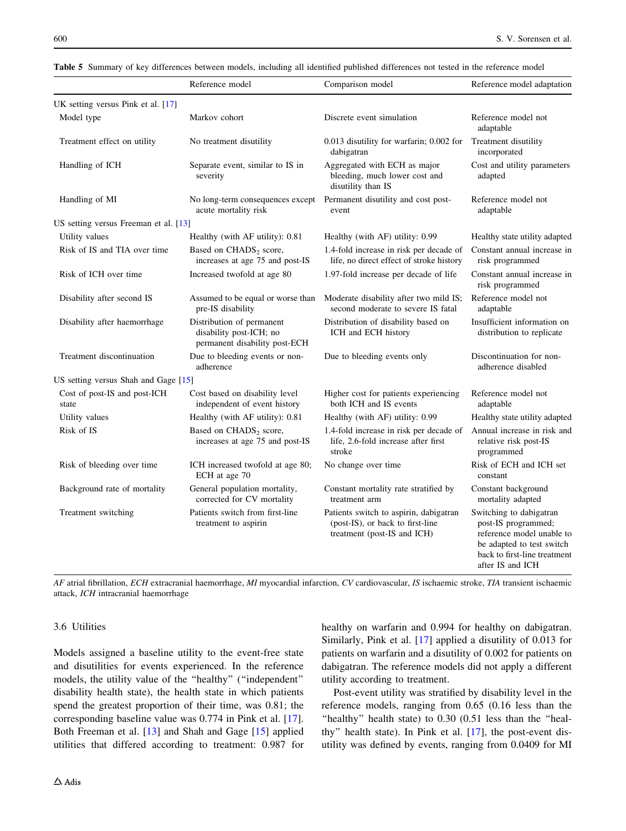|                                       | Reference model                                                                       | Comparison model                                                                                          | Reference model adaptation                                                                                                                                   |
|---------------------------------------|---------------------------------------------------------------------------------------|-----------------------------------------------------------------------------------------------------------|--------------------------------------------------------------------------------------------------------------------------------------------------------------|
| UK setting versus Pink et al. [17]    |                                                                                       |                                                                                                           |                                                                                                                                                              |
| Model type                            | Markov cohort                                                                         | Discrete event simulation                                                                                 | Reference model not<br>adaptable                                                                                                                             |
| Treatment effect on utility           | No treatment disutility                                                               | 0.013 disutility for warfarin; 0.002 for<br>dabigatran                                                    | Treatment disutility<br>incorporated                                                                                                                         |
| Handling of ICH                       | Separate event, similar to IS in<br>severity                                          | Aggregated with ECH as major<br>bleeding, much lower cost and<br>disutility than IS                       | Cost and utility parameters<br>adapted                                                                                                                       |
| Handling of MI                        | acute mortality risk                                                                  | No long-term consequences except Permanent disutility and cost post-<br>event                             | Reference model not<br>adaptable                                                                                                                             |
| US setting versus Freeman et al. [13] |                                                                                       |                                                                                                           |                                                                                                                                                              |
| Utility values                        | Healthy (with AF utility): 0.81                                                       | Healthy (with AF) utility: 0.99                                                                           | Healthy state utility adapted                                                                                                                                |
| Risk of IS and TIA over time          | Based on CHADS <sub>2</sub> score,<br>increases at age 75 and post-IS                 | 1.4-fold increase in risk per decade of<br>life, no direct effect of stroke history                       | Constant annual increase in<br>risk programmed                                                                                                               |
| Risk of ICH over time                 | Increased twofold at age 80                                                           | 1.97-fold increase per decade of life                                                                     | Constant annual increase in<br>risk programmed                                                                                                               |
| Disability after second IS            | Assumed to be equal or worse than<br>pre-IS disability                                | Moderate disability after two mild IS;<br>second moderate to severe IS fatal                              | Reference model not<br>adaptable                                                                                                                             |
| Disability after haemorrhage          | Distribution of permanent<br>disability post-ICH; no<br>permanent disability post-ECH | Distribution of disability based on<br>ICH and ECH history                                                | Insufficient information on<br>distribution to replicate                                                                                                     |
| Treatment discontinuation             | Due to bleeding events or non-<br>adherence                                           | Due to bleeding events only                                                                               | Discontinuation for non-<br>adherence disabled                                                                                                               |
| US setting versus Shah and Gage [15]  |                                                                                       |                                                                                                           |                                                                                                                                                              |
| Cost of post-IS and post-ICH<br>state | Cost based on disability level<br>independent of event history                        | Higher cost for patients experiencing<br>both ICH and IS events                                           | Reference model not<br>adaptable                                                                                                                             |
| Utility values                        | Healthy (with AF utility): 0.81                                                       | Healthy (with AF) utility: 0.99                                                                           | Healthy state utility adapted                                                                                                                                |
| Risk of IS                            | Based on CHADS <sub>2</sub> score,<br>increases at age 75 and post-IS                 | 1.4-fold increase in risk per decade of<br>life, 2.6-fold increase after first<br>stroke                  | Annual increase in risk and<br>relative risk post-IS<br>programmed                                                                                           |
| Risk of bleeding over time            | ICH increased twofold at age 80;<br>ECH at age 70                                     | No change over time                                                                                       | Risk of ECH and ICH set<br>constant                                                                                                                          |
| Background rate of mortality          | General population mortality,<br>corrected for CV mortality                           | Constant mortality rate stratified by<br>treatment arm                                                    | Constant background<br>mortality adapted                                                                                                                     |
| Treatment switching                   | Patients switch from first-line<br>treatment to aspirin                               | Patients switch to aspirin, dabigatran<br>(post-IS), or back to first-line<br>treatment (post-IS and ICH) | Switching to dabigatran<br>post-IS programmed;<br>reference model unable to<br>be adapted to test switch<br>back to first-line treatment<br>after IS and ICH |

<span id="page-11-0"></span>Table 5 Summary of key differences between models, including all identified published differences not tested in the reference model

AF atrial fibrillation, ECH extracranial haemorrhage, MI myocardial infarction, CV cardiovascular, IS ischaemic stroke, TIA transient ischaemic attack, ICH intracranial haemorrhage

# 3.6 Utilities

Models assigned a baseline utility to the event-free state and disutilities for events experienced. In the reference models, the utility value of the ''healthy'' (''independent'' disability health state), the health state in which patients spend the greatest proportion of their time, was 0.81; the corresponding baseline value was 0.774 in Pink et al. [\[17](#page-15-0)]. Both Freeman et al. [\[13](#page-15-0)] and Shah and Gage [[15\]](#page-15-0) applied utilities that differed according to treatment: 0.987 for healthy on warfarin and 0.994 for healthy on dabigatran. Similarly, Pink et al. [\[17](#page-15-0)] applied a disutility of 0.013 for patients on warfarin and a disutility of 0.002 for patients on dabigatran. The reference models did not apply a different utility according to treatment.

Post-event utility was stratified by disability level in the reference models, ranging from 0.65 (0.16 less than the "healthy" health state) to 0.30 (0.51 less than the "healthy'' health state). In Pink et al. [[17\]](#page-15-0), the post-event disutility was defined by events, ranging from 0.0409 for MI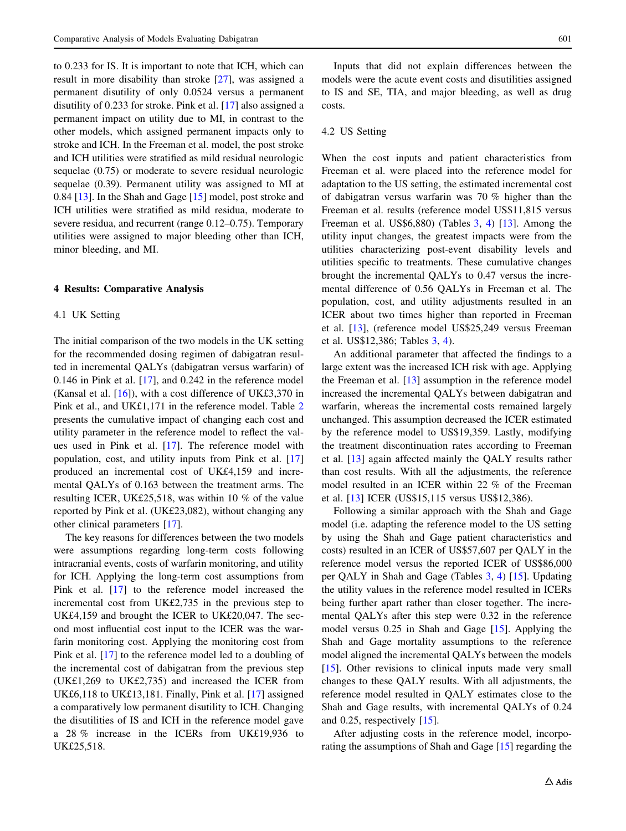to 0.233 for IS. It is important to note that ICH, which can result in more disability than stroke [\[27](#page-15-0)], was assigned a permanent disutility of only 0.0524 versus a permanent disutility of 0.233 for stroke. Pink et al. [[17\]](#page-15-0) also assigned a permanent impact on utility due to MI, in contrast to the other models, which assigned permanent impacts only to stroke and ICH. In the Freeman et al. model, the post stroke and ICH utilities were stratified as mild residual neurologic sequelae (0.75) or moderate to severe residual neurologic sequelae (0.39). Permanent utility was assigned to MI at 0.84 [\[13](#page-15-0)]. In the Shah and Gage [\[15](#page-15-0)] model, post stroke and ICH utilities were stratified as mild residua, moderate to severe residua, and recurrent (range 0.12–0.75). Temporary utilities were assigned to major bleeding other than ICH, minor bleeding, and MI.

#### 4 Results: Comparative Analysis

#### 4.1 UK Setting

The initial comparison of the two models in the UK setting for the recommended dosing regimen of dabigatran resulted in incremental QALYs (dabigatran versus warfarin) of 0.146 in Pink et al. [\[17](#page-15-0)], and 0.242 in the reference model (Kansal et al. [[16\]](#page-15-0)), with a cost difference of UK£3,370 in Pink et al., and UK£1,171 in the reference model. Table [2](#page-5-0) presents the cumulative impact of changing each cost and utility parameter in the reference model to reflect the values used in Pink et al. [\[17](#page-15-0)]. The reference model with population, cost, and utility inputs from Pink et al. [[17\]](#page-15-0) produced an incremental cost of UK£4,159 and incremental QALYs of 0.163 between the treatment arms. The resulting ICER, UK£25,518, was within 10 % of the value reported by Pink et al. (UK£23,082), without changing any other clinical parameters [[17](#page-15-0)].

The key reasons for differences between the two models were assumptions regarding long-term costs following intracranial events, costs of warfarin monitoring, and utility for ICH. Applying the long-term cost assumptions from Pink et al. [[17\]](#page-15-0) to the reference model increased the incremental cost from UK£2,735 in the previous step to UK£4,159 and brought the ICER to UK£20,047. The second most influential cost input to the ICER was the warfarin monitoring cost. Applying the monitoring cost from Pink et al. [[17\]](#page-15-0) to the reference model led to a doubling of the incremental cost of dabigatran from the previous step (UK£1,269 to UK£2,735) and increased the ICER from UK£6,118 to UK£13,181. Finally, Pink et al. [[17\]](#page-15-0) assigned a comparatively low permanent disutility to ICH. Changing the disutilities of IS and ICH in the reference model gave a 28 % increase in the ICERs from UK£19,936 to UK£25,518.

Inputs that did not explain differences between the models were the acute event costs and disutilities assigned to IS and SE, TIA, and major bleeding, as well as drug costs.

## 4.2 US Setting

When the cost inputs and patient characteristics from Freeman et al. were placed into the reference model for adaptation to the US setting, the estimated incremental cost of dabigatran versus warfarin was 70 % higher than the Freeman et al. results (reference model US\$11,815 versus Freeman et al. US\$6,880) (Tables [3](#page-6-0), [4\)](#page-7-0) [\[13](#page-15-0)]. Among the utility input changes, the greatest impacts were from the utilities characterizing post-event disability levels and utilities specific to treatments. These cumulative changes brought the incremental QALYs to 0.47 versus the incremental difference of 0.56 QALYs in Freeman et al. The population, cost, and utility adjustments resulted in an ICER about two times higher than reported in Freeman et al. [\[13](#page-15-0)], (reference model US\$25,249 versus Freeman et al. US\$12,386; Tables [3](#page-6-0), [4\)](#page-7-0).

An additional parameter that affected the findings to a large extent was the increased ICH risk with age. Applying the Freeman et al. [[13\]](#page-15-0) assumption in the reference model increased the incremental QALYs between dabigatran and warfarin, whereas the incremental costs remained largely unchanged. This assumption decreased the ICER estimated by the reference model to US\$19,359. Lastly, modifying the treatment discontinuation rates according to Freeman et al. [[13\]](#page-15-0) again affected mainly the QALY results rather than cost results. With all the adjustments, the reference model resulted in an ICER within 22 % of the Freeman et al. [\[13](#page-15-0)] ICER (US\$15,115 versus US\$12,386).

Following a similar approach with the Shah and Gage model (i.e. adapting the reference model to the US setting by using the Shah and Gage patient characteristics and costs) resulted in an ICER of US\$57,607 per QALY in the reference model versus the reported ICER of US\$86,000 per QALY in Shah and Gage (Tables [3](#page-6-0), [4](#page-7-0)) [[15\]](#page-15-0). Updating the utility values in the reference model resulted in ICERs being further apart rather than closer together. The incremental QALYs after this step were 0.32 in the reference model versus 0.25 in Shah and Gage [\[15](#page-15-0)]. Applying the Shah and Gage mortality assumptions to the reference model aligned the incremental QALYs between the models [\[15](#page-15-0)]. Other revisions to clinical inputs made very small changes to these QALY results. With all adjustments, the reference model resulted in QALY estimates close to the Shah and Gage results, with incremental QALYs of 0.24 and 0.25, respectively [\[15](#page-15-0)].

After adjusting costs in the reference model, incorporating the assumptions of Shah and Gage [\[15](#page-15-0)] regarding the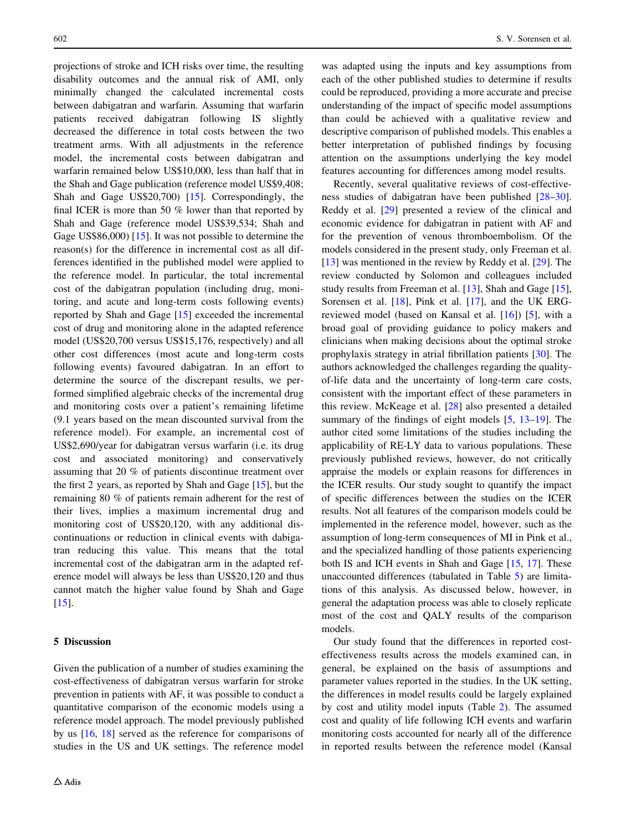projections of stroke and ICH risks over time, the resulting disability outcomes and the annual risk of AMI, only minimally changed the calculated incremental costs between dabigatran and warfarin. Assuming that warfarin patients received dabigatran following IS slightly decreased the difference in total costs between the two treatment arms. With all adjustments in the reference model, the incremental costs between dabigatran and warfarin remained below US\$10,000, less than half that in the Shah and Gage publication (reference model US\$9,408; Shah and Gage US\$20,700) [\[15](#page-15-0)]. Correspondingly, the final ICER is more than 50 % lower than that reported by Shah and Gage (reference model US\$39,534; Shah and Gage US\$86,000) [[15\]](#page-15-0). It was not possible to determine the reason(s) for the difference in incremental cost as all differences identified in the published model were applied to the reference model. In particular, the total incremental cost of the dabigatran population (including drug, monitoring, and acute and long-term costs following events) reported by Shah and Gage [\[15](#page-15-0)] exceeded the incremental cost of drug and monitoring alone in the adapted reference model (US\$20,700 versus US\$15,176, respectively) and all other cost differences (most acute and long-term costs following events) favoured dabigatran. In an effort to determine the source of the discrepant results, we performed simplified algebraic checks of the incremental drug and monitoring costs over a patient's remaining lifetime (9.1 years based on the mean discounted survival from the reference model). For example, an incremental cost of US\$2,690/year for dabigatran versus warfarin (i.e. its drug cost and associated monitoring) and conservatively assuming that 20 % of patients discontinue treatment over the first 2 years, as reported by Shah and Gage [\[15](#page-15-0)], but the remaining 80 % of patients remain adherent for the rest of their lives, implies a maximum incremental drug and monitoring cost of US\$20,120, with any additional discontinuations or reduction in clinical events with dabigatran reducing this value. This means that the total incremental cost of the dabigatran arm in the adapted reference model will always be less than US\$20,120 and thus cannot match the higher value found by Shah and Gage  $[15]$  $[15]$ .

#### 5 Discussion

Given the publication of a number of studies examining the cost-effectiveness of dabigatran versus warfarin for stroke prevention in patients with AF, it was possible to conduct a quantitative comparison of the economic models using a reference model approach. The model previously published by us [\[16](#page-15-0), [18](#page-15-0)] served as the reference for comparisons of studies in the US and UK settings. The reference model

was adapted using the inputs and key assumptions from each of the other published studies to determine if results could be reproduced, providing a more accurate and precise understanding of the impact of specific model assumptions than could be achieved with a qualitative review and descriptive comparison of published models. This enables a better interpretation of published findings by focusing attention on the assumptions underlying the key model features accounting for differences among model results.

Recently, several qualitative reviews of cost-effectiveness studies of dabigatran have been published [\[28–30](#page-15-0)]. Reddy et al. [[29\]](#page-15-0) presented a review of the clinical and economic evidence for dabigatran in patient with AF and for the prevention of venous thromboembolism. Of the models considered in the present study, only Freeman et al. [\[13](#page-15-0)] was mentioned in the review by Reddy et al. [\[29](#page-15-0)]. The review conducted by Solomon and colleagues included study results from Freeman et al. [[13\]](#page-15-0), Shah and Gage [\[15](#page-15-0)], Sorensen et al. [[18\]](#page-15-0), Pink et al. [\[17](#page-15-0)], and the UK ERGreviewed model (based on Kansal et al. [[16](#page-15-0)]) [\[5](#page-15-0)], with a broad goal of providing guidance to policy makers and clinicians when making decisions about the optimal stroke prophylaxis strategy in atrial fibrillation patients [[30\]](#page-15-0). The authors acknowledged the challenges regarding the qualityof-life data and the uncertainty of long-term care costs, consistent with the important effect of these parameters in this review. McKeage et al. [[28\]](#page-15-0) also presented a detailed summary of the findings of eight models [[5,](#page-15-0) [13–19](#page-15-0)]. The author cited some limitations of the studies including the applicability of RE-LY data to various populations. These previously published reviews, however, do not critically appraise the models or explain reasons for differences in the ICER results. Our study sought to quantify the impact of specific differences between the studies on the ICER results. Not all features of the comparison models could be implemented in the reference model, however, such as the assumption of long-term consequences of MI in Pink et al., and the specialized handling of those patients experiencing both IS and ICH events in Shah and Gage [[15,](#page-15-0) [17](#page-15-0)]. These unaccounted differences (tabulated in Table [5\)](#page-11-0) are limitations of this analysis. As discussed below, however, in general the adaptation process was able to closely replicate most of the cost and QALY results of the comparison models.

Our study found that the differences in reported costeffectiveness results across the models examined can, in general, be explained on the basis of assumptions and parameter values reported in the studies. In the UK setting, the differences in model results could be largely explained by cost and utility model inputs (Table [2\)](#page-5-0). The assumed cost and quality of life following ICH events and warfarin monitoring costs accounted for nearly all of the difference in reported results between the reference model (Kansal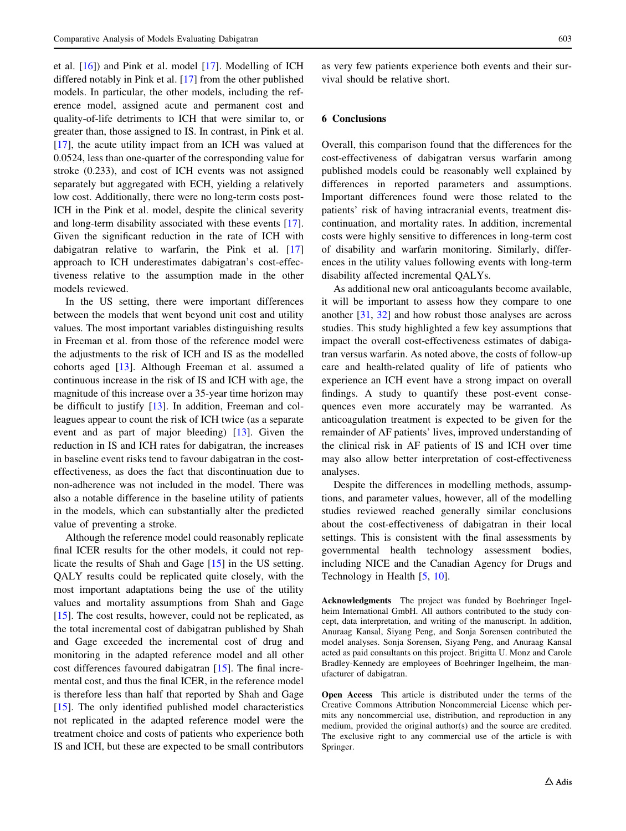et al. [[16\]](#page-15-0)) and Pink et al. model [\[17](#page-15-0)]. Modelling of ICH differed notably in Pink et al. [[17](#page-15-0)] from the other published models. In particular, the other models, including the reference model, assigned acute and permanent cost and quality-of-life detriments to ICH that were similar to, or greater than, those assigned to IS. In contrast, in Pink et al. [\[17](#page-15-0)], the acute utility impact from an ICH was valued at 0.0524, less than one-quarter of the corresponding value for stroke (0.233), and cost of ICH events was not assigned separately but aggregated with ECH, yielding a relatively low cost. Additionally, there were no long-term costs post-ICH in the Pink et al. model, despite the clinical severity and long-term disability associated with these events [\[17](#page-15-0)]. Given the significant reduction in the rate of ICH with dabigatran relative to warfarin, the Pink et al. [[17\]](#page-15-0) approach to ICH underestimates dabigatran's cost-effectiveness relative to the assumption made in the other models reviewed.

In the US setting, there were important differences between the models that went beyond unit cost and utility values. The most important variables distinguishing results in Freeman et al. from those of the reference model were the adjustments to the risk of ICH and IS as the modelled cohorts aged [\[13](#page-15-0)]. Although Freeman et al. assumed a continuous increase in the risk of IS and ICH with age, the magnitude of this increase over a 35-year time horizon may be difficult to justify [[13\]](#page-15-0). In addition, Freeman and colleagues appear to count the risk of ICH twice (as a separate event and as part of major bleeding) [[13\]](#page-15-0). Given the reduction in IS and ICH rates for dabigatran, the increases in baseline event risks tend to favour dabigatran in the costeffectiveness, as does the fact that discontinuation due to non-adherence was not included in the model. There was also a notable difference in the baseline utility of patients in the models, which can substantially alter the predicted value of preventing a stroke.

Although the reference model could reasonably replicate final ICER results for the other models, it could not replicate the results of Shah and Gage [[15\]](#page-15-0) in the US setting. QALY results could be replicated quite closely, with the most important adaptations being the use of the utility values and mortality assumptions from Shah and Gage [\[15](#page-15-0)]. The cost results, however, could not be replicated, as the total incremental cost of dabigatran published by Shah and Gage exceeded the incremental cost of drug and monitoring in the adapted reference model and all other cost differences favoured dabigatran [\[15](#page-15-0)]. The final incremental cost, and thus the final ICER, in the reference model is therefore less than half that reported by Shah and Gage  $[15]$  $[15]$ . The only identified published model characteristics not replicated in the adapted reference model were the treatment choice and costs of patients who experience both IS and ICH, but these are expected to be small contributors as very few patients experience both events and their survival should be relative short.

# 6 Conclusions

Overall, this comparison found that the differences for the cost-effectiveness of dabigatran versus warfarin among published models could be reasonably well explained by differences in reported parameters and assumptions. Important differences found were those related to the patients' risk of having intracranial events, treatment discontinuation, and mortality rates. In addition, incremental costs were highly sensitive to differences in long-term cost of disability and warfarin monitoring. Similarly, differences in the utility values following events with long-term disability affected incremental QALYs.

As additional new oral anticoagulants become available, it will be important to assess how they compare to one another [[31,](#page-15-0) [32\]](#page-15-0) and how robust those analyses are across studies. This study highlighted a few key assumptions that impact the overall cost-effectiveness estimates of dabigatran versus warfarin. As noted above, the costs of follow-up care and health-related quality of life of patients who experience an ICH event have a strong impact on overall findings. A study to quantify these post-event consequences even more accurately may be warranted. As anticoagulation treatment is expected to be given for the remainder of AF patients' lives, improved understanding of the clinical risk in AF patients of IS and ICH over time may also allow better interpretation of cost-effectiveness analyses.

Despite the differences in modelling methods, assumptions, and parameter values, however, all of the modelling studies reviewed reached generally similar conclusions about the cost-effectiveness of dabigatran in their local settings. This is consistent with the final assessments by governmental health technology assessment bodies, including NICE and the Canadian Agency for Drugs and Technology in Health [[5,](#page-15-0) [10\]](#page-15-0).

Acknowledgments The project was funded by Boehringer Ingelheim International GmbH. All authors contributed to the study concept, data interpretation, and writing of the manuscript. In addition, Anuraag Kansal, Siyang Peng, and Sonja Sorensen contributed the model analyses. Sonja Sorensen, Siyang Peng, and Anuraag Kansal acted as paid consultants on this project. Brigitta U. Monz and Carole Bradley-Kennedy are employees of Boehringer Ingelheim, the manufacturer of dabigatran.

Open Access This article is distributed under the terms of the Creative Commons Attribution Noncommercial License which permits any noncommercial use, distribution, and reproduction in any medium, provided the original author(s) and the source are credited. The exclusive right to any commercial use of the article is with Springer.